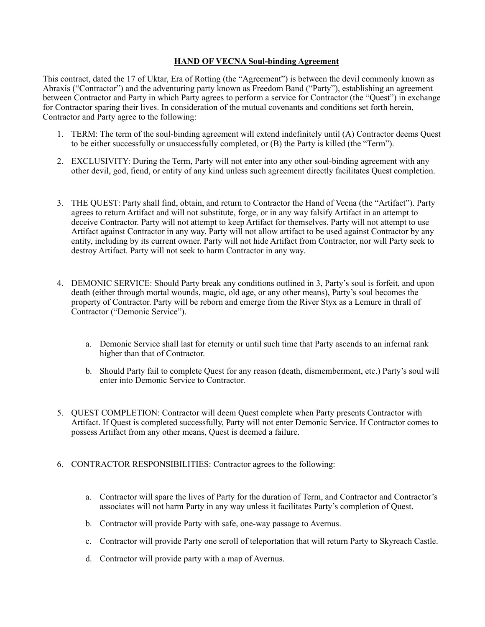## **HAND OF VECNA Soul-binding Agreement**

This contract, dated the 17 of Uktar, Era of Rotting (the "Agreement") is between the devil commonly known as Abraxis ("Contractor") and the adventuring party known as Freedom Band ("Party"), establishing an agreement between Contractor and Party in which Party agrees to perform a service for Contractor (the "Quest") in exchange for Contractor sparing their lives. In consideration of the mutual covenants and conditions set forth herein, Contractor and Party agree to the following:

- 1. TERM: The term of the soul-binding agreement will extend indefinitely until (A) Contractor deems Quest to be either successfully or unsuccessfully completed, or (B) the Party is killed (the "Term").
- 2. EXCLUSIVITY: During the Term, Party will not enter into any other soul-binding agreement with any other devil, god, fiend, or entity of any kind unless such agreement directly facilitates Quest completion.
- 3. THE QUEST: Party shall find, obtain, and return to Contractor the Hand of Vecna (the "Artifact"). Party agrees to return Artifact and will not substitute, forge, or in any way falsify Artifact in an attempt to deceive Contractor. Party will not attempt to keep Artifact for themselves. Party will not attempt to use Artifact against Contractor in any way. Party will not allow artifact to be used against Contractor by any entity, including by its current owner. Party will not hide Artifact from Contractor, nor will Party seek to destroy Artifact. Party will not seek to harm Contractor in any way.
- 4. DEMONIC SERVICE: Should Party break any conditions outlined in 3, Party's soul is forfeit, and upon death (either through mortal wounds, magic, old age, or any other means), Party's soul becomes the property of Contractor. Party will be reborn and emerge from the River Styx as a Lemure in thrall of Contractor ("Demonic Service").
	- a. Demonic Service shall last for eternity or until such time that Party ascends to an infernal rank higher than that of Contractor.
	- b. Should Party fail to complete Quest for any reason (death, dismemberment, etc.) Party's soul will enter into Demonic Service to Contractor.
- 5. QUEST COMPLETION: Contractor will deem Quest complete when Party presents Contractor with Artifact. If Quest is completed successfully, Party will not enter Demonic Service. If Contractor comes to possess Artifact from any other means, Quest is deemed a failure.
- 6. CONTRACTOR RESPONSIBILITIES: Contractor agrees to the following:
	- a. Contractor will spare the lives of Party for the duration of Term, and Contractor and Contractor's associates will not harm Party in any way unless it facilitates Party's completion of Quest.
	- b. Contractor will provide Party with safe, one-way passage to Avernus.
	- c. Contractor will provide Party one scroll of teleportation that will return Party to Skyreach Castle.
	- d. Contractor will provide party with a map of Avernus.